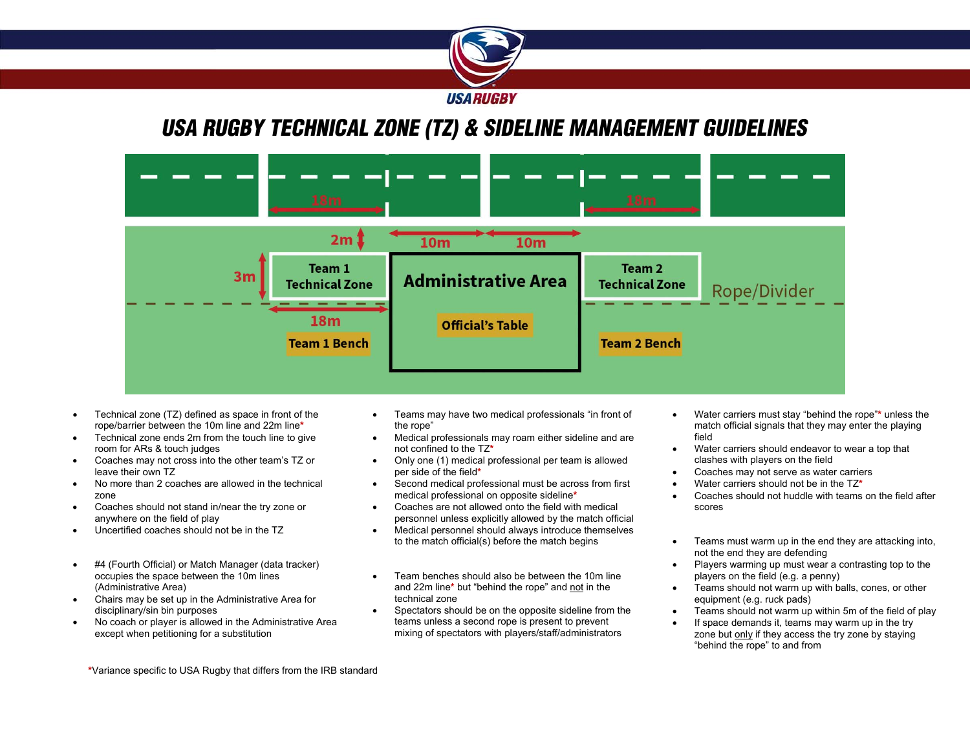

## *USA RUGBY TECHNICAL ZONE (TZ) & SIDELINE MANAGEMENT GUIDELINES*



- Coaches may not cross into the other team's TZ or leave their own TZ
- No more than 2 coaches are allowed in the technical zone
- Coaches should not stand in/near the try zone or anywhere on the field of play
- Uncertified coaches should not be in the TZ
- #4 (Fourth Official) or Match Manager (data tracker) occupies the space between the 10m lines (Administrative Area)
- Chairs may be set up in the Administrative Area for disciplinary/sin bin purposes
- No coach or player is allowed in the Administrative Area except when petitioning for a substitution
- 
- Only one (1) medical professional per team is allowed per side of the field**\***
- Second medical professional must be across from first medical professional on opposite sideline**\***
- Coaches are not allowed onto the field with medical personnel unless explicitly allowed by the match official
- Medical personnel should always introduce themselves to the match official(s) before the match begins
- Team benches should also be between the 10m line and 22m line**\*** but "behind the rope" and not in the technical zone
- Spectators should be on the opposite sideline from the teams unless a second rope is present to prevent mixing of spectators with players/staff/administrators
- Water carriers must stay "behind the rope"**\*** unless the match official signals that they may enter the playing
- Water carriers should endeavor to wear a top that clashes with players on the field
- Coaches may not serve as water carriers
- Water carriers should not be in the TZ**\***
- Coaches should not huddle with teams on the field after scores
- Teams must warm up in the end they are attacking into, not the end they are defending
- Players warming up must wear a contrasting top to the players on the field (e.g. a penny)
- **•** Teams should not warm up with balls, cones, or other equipment (e.g. ruck pads)
- Teams should not warm up within 5m of the field of play
- If space demands it, teams may warm up in the try zone but only if they access the try zone by staying "behind the rope" to and from

**\***Variance specific to USA Rugby that differs from the IRB standard